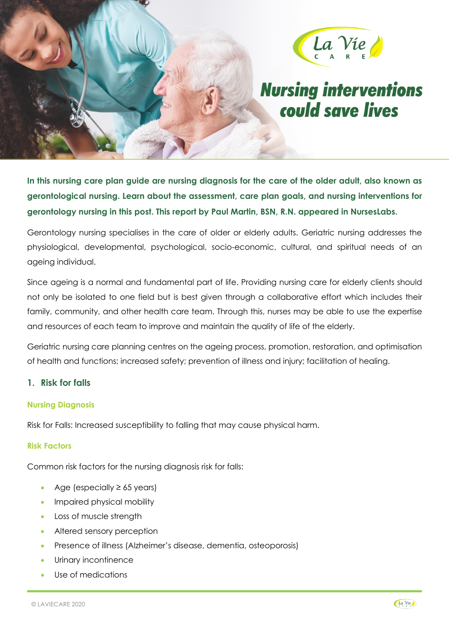

# **Nursing interventions** could save lives

**In this nursing care plan guide are nursing diagnosis for the care of the older adult, also known as gerontological nursing. Learn about the assessment, care plan goals, and nursing interventions for gerontology nursing in this post. This report by Paul Martin, BSN, R.N. appeared in NursesLabs.** 

Gerontology nursing specialises in the care of older or elderly adults. Geriatric nursing addresses the physiological, developmental, psychological, socio-economic, cultural, and spiritual needs of an ageing individual.

Since ageing is a normal and fundamental part of life. Providing nursing care for elderly clients should not only be isolated to one field but is best given through a collaborative effort which includes their family, community, and other health care team. Through this, nurses may be able to use the expertise and resources of each team to improve and maintain the quality of life of the elderly.

Geriatric nursing care planning centres on the ageing process, promotion, restoration, and optimisation of health and functions; increased safety; prevention of illness and injury; facilitation of healing.

## **1. Risk for falls**

## **Nursing Diagnosis**

Risk for Falls: Increased susceptibility to falling that may cause physical harm.

## **Risk Factors**

Common risk factors for the nursing diagnosis risk for falls:

- Age (especially  $\geq$  65 years)
- Impaired physical mobility
- Loss of muscle strength
- Altered sensory perception
- Presence of illness (Alzheimer's disease, dementia, osteoporosis)
- Urinary incontinence
- Use of medications

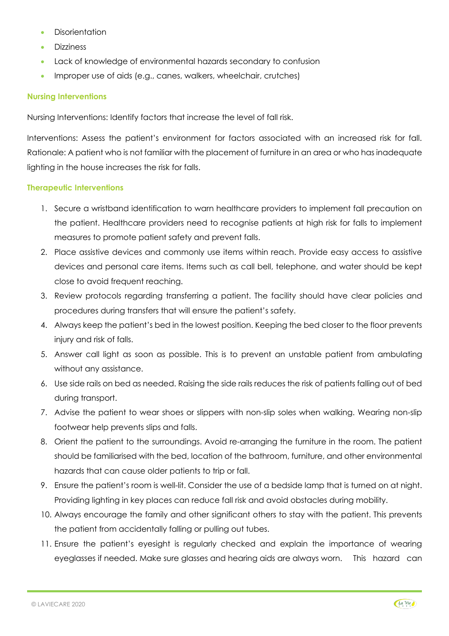- Disorientation
- Dizziness
- Lack of knowledge of environmental hazards secondary to confusion
- Improper use of aids (e.g., canes, walkers, wheelchair, crutches)

#### **Nursing Interventions**

Nursing Interventions: Identify factors that increase the level of fall risk.

Interventions: Assess the patient's environment for factors associated with an increased risk for fall. Rationale: A patient who is not familiar with the placement of furniture in an area or who has inadequate lighting in the house increases the risk for falls.

#### **Therapeutic Interventions**

- 1. Secure a wristband identification to warn healthcare providers to implement fall precaution on the patient. Healthcare providers need to recognise patients at high risk for falls to implement measures to promote patient safety and prevent falls.
- 2. Place assistive devices and commonly use items within reach. Provide easy access to assistive devices and personal care items. Items such as call bell, telephone, and water should be kept close to avoid frequent reaching.
- 3. Review protocols regarding transferring a patient. The facility should have clear policies and procedures during transfers that will ensure the patient's safety.
- 4. Always keep the patient's bed in the lowest position. Keeping the bed closer to the floor prevents injury and risk of falls.
- 5. Answer call light as soon as possible. This is to prevent an unstable patient from ambulating without any assistance.
- 6. Use side rails on bed as needed. Raising the side rails reduces the risk of patients falling out of bed during transport.
- 7. Advise the patient to wear shoes or slippers with non-slip soles when walking. Wearing non-slip footwear help prevents slips and falls.
- 8. Orient the patient to the surroundings. Avoid re-arranging the furniture in the room. The patient should be familiarised with the bed, location of the bathroom, furniture, and other environmental hazards that can cause older patients to trip or fall.
- 9. Ensure the patient's room is well-lit. Consider the use of a bedside lamp that is turned on at night. Providing lighting in key places can reduce fall risk and avoid obstacles during mobility.
- 10. Always encourage the family and other significant others to stay with the patient. This prevents the patient from accidentally falling or pulling out tubes.
- 11. Ensure the patient's eyesight is regularly checked and explain the importance of wearing eyeglasses if needed. Make sure glasses and hearing aids are always worn. This hazard can

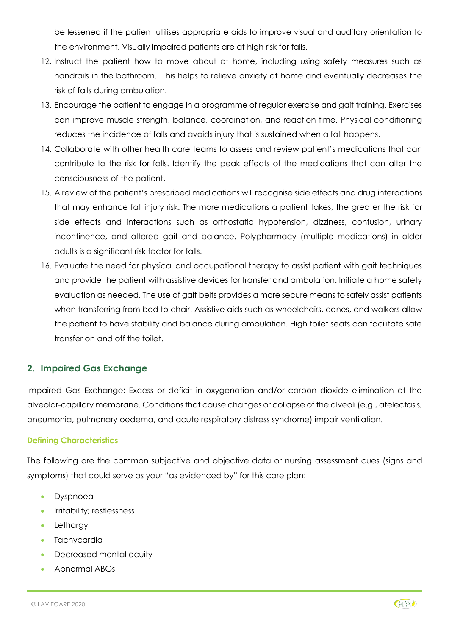be lessened if the patient utilises appropriate aids to improve visual and auditory orientation to the environment. Visually impaired patients are at high risk for falls.

- 12. Instruct the patient how to move about at home, including using safety measures such as handrails in the bathroom. This helps to relieve anxiety at home and eventually decreases the risk of falls during ambulation.
- 13. Encourage the patient to engage in a programme of regular exercise and gait training. Exercises can improve muscle strength, balance, coordination, and reaction time. Physical conditioning reduces the incidence of falls and avoids injury that is sustained when a fall happens.
- 14. Collaborate with other health care teams to assess and review patient's medications that can contribute to the risk for falls. Identify the peak effects of the medications that can alter the consciousness of the patient.
- 15. A review of the patient's prescribed medications will recognise side effects and drug interactions that may enhance fall injury risk. The more medications a patient takes, the greater the risk for side effects and interactions such as orthostatic hypotension, dizziness, confusion, urinary incontinence, and altered gait and balance. Polypharmacy (multiple medications) in older adults is a significant risk factor for falls.
- 16. Evaluate the need for physical and occupational therapy to assist patient with gait techniques and provide the patient with assistive devices for transfer and ambulation. Initiate a home safety evaluation as needed. The use of gait belts provides a more secure means to safely assist patients when transferring from bed to chair. Assistive aids such as wheelchairs, canes, and walkers allow the patient to have stability and balance during ambulation. High toilet seats can facilitate safe transfer on and off the toilet.

## **2. Impaired Gas Exchange**

Impaired Gas Exchange: Excess or deficit in oxygenation and/or carbon dioxide elimination at the alveolar-capillary membrane. Conditions that cause changes or collapse of the alveoli (e.g., atelectasis, pneumonia, pulmonary oedema, and acute respiratory distress syndrome) impair ventilation.

## **Defining Characteristics**

The following are the common subjective and objective data or nursing assessment cues (signs and symptoms) that could serve as your "as evidenced by" for this care plan:

- Dyspnoea
- Irritability; restlessness
- **Letharav**
- Tachycardia
- Decreased mental acuity
- Abnormal ABGs